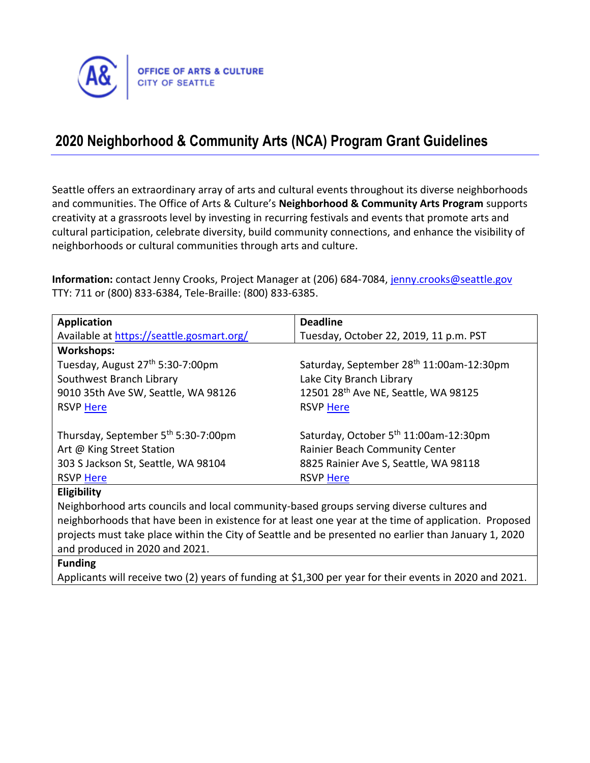

# **2020 Neighborhood & Community Arts (NCA) Program Grant Guidelines**

Seattle offers an extraordinary array of arts and cultural events throughout its diverse neighborhoods and communities. The Office of Arts & Culture's **Neighborhood & Community Arts Program** supports creativity at a grassroots level by investing in recurring festivals and events that promote arts and cultural participation, celebrate diversity, build community connections, and enhance the visibility of neighborhoods or cultural communities through arts and culture.

Information: contact Jenny Crooks, Project Manager at (206) 684-7084, [jenny.crooks@seattle.gov](mailto:jenny.crooks@seattle.gov) TTY: 711 or (800) 833-6384, Tele-Braille: (800) 833-6385.

| <b>Application</b>                                                                                   | <b>Deadline</b>                                   |
|------------------------------------------------------------------------------------------------------|---------------------------------------------------|
| Available at https://seattle.gosmart.org/                                                            | Tuesday, October 22, 2019, 11 p.m. PST            |
| <b>Workshops:</b>                                                                                    |                                                   |
| Tuesday, August 27 <sup>th</sup> 5:30-7:00pm                                                         | Saturday, September 28th 11:00am-12:30pm          |
| Southwest Branch Library                                                                             | Lake City Branch Library                          |
| 9010 35th Ave SW, Seattle, WA 98126                                                                  | 12501 28 <sup>th</sup> Ave NE, Seattle, WA 98125  |
| <b>RSVP Here</b>                                                                                     | <b>RSVP Here</b>                                  |
|                                                                                                      |                                                   |
| Thursday, September 5 <sup>th</sup> 5:30-7:00pm                                                      | Saturday, October 5 <sup>th</sup> 11:00am-12:30pm |
| Art @ King Street Station                                                                            | <b>Rainier Beach Community Center</b>             |
| 303 S Jackson St, Seattle, WA 98104                                                                  | 8825 Rainier Ave S, Seattle, WA 98118             |
| RSVP Here                                                                                            | RSVP Here                                         |
| Eligibility                                                                                          |                                                   |
| Neighborhood arts councils and local community-based groups serving diverse cultures and             |                                                   |
| neighborhoods that have been in existence for at least one year at the time of application. Proposed |                                                   |
| projects must take place within the City of Seattle and be presented no earlier than January 1, 2020 |                                                   |
| and produced in 2020 and 2021.                                                                       |                                                   |
| <b>Funding</b>                                                                                       |                                                   |

Applicants will receive two (2) years of funding at \$1,300 per year for their events in 2020 and 2021.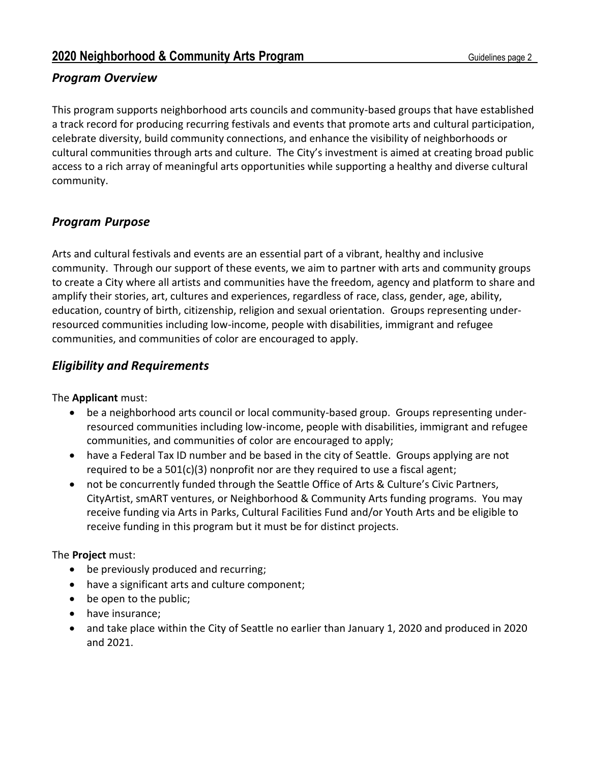## *Program Overview*

This program supports neighborhood arts councils and community-based groups that have established a track record for producing recurring festivals and events that promote arts and cultural participation, celebrate diversity, build community connections, and enhance the visibility of neighborhoods or cultural communities through arts and culture. The City's investment is aimed at creating broad public access to a rich array of meaningful arts opportunities while supporting a healthy and diverse cultural community.

# *Program Purpose*

Arts and cultural festivals and events are an essential part of a vibrant, healthy and inclusive community. Through our support of these events, we aim to partner with arts and community groups to create a City where all artists and communities have the freedom, agency and platform to share and amplify their stories, art, cultures and experiences, regardless of race, class, gender, age, ability, education, country of birth, citizenship, religion and sexual orientation. Groups representing underresourced communities including low-income, people with disabilities, immigrant and refugee communities, and communities of color are encouraged to apply.

# *Eligibility and Requirements*

The **Applicant** must:

- be a neighborhood arts council or local community-based group. Groups representing underresourced communities including low-income, people with disabilities, immigrant and refugee communities, and communities of color are encouraged to apply;
- have a Federal Tax ID number and be based in the city of Seattle. Groups applying are not required to be a  $501(c)(3)$  nonprofit nor are they required to use a fiscal agent;
- not be concurrently funded through the Seattle Office of Arts & Culture's Civic Partners, CityArtist, smART ventures, or Neighborhood & Community Arts funding programs. You may receive funding via Arts in Parks, Cultural Facilities Fund and/or Youth Arts and be eligible to receive funding in this program but it must be for distinct projects.

#### The **Project** must:

- be previously produced and recurring;
- have a significant arts and culture component;
- be open to the public;
- have insurance;
- and take place within the City of Seattle no earlier than January 1, 2020 and produced in 2020 and 2021.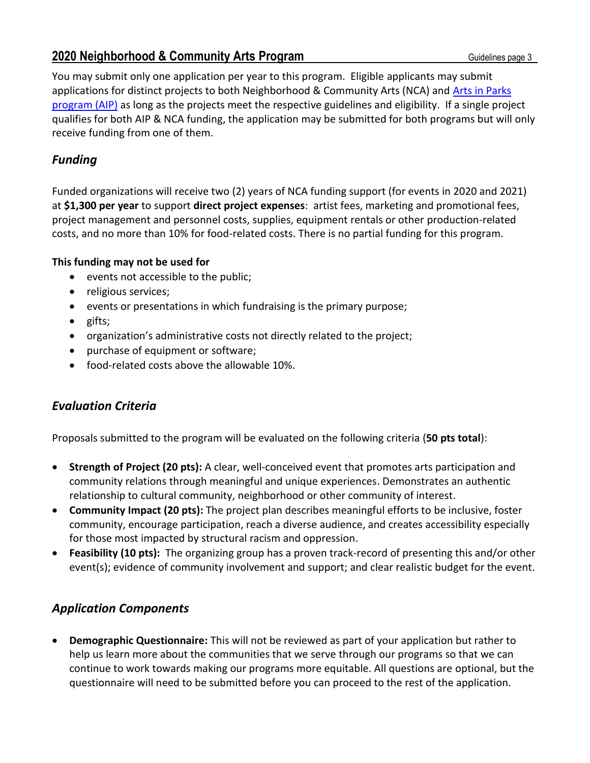You may submit only one application per year to this program. Eligible applicants may submit applications for distinct projects to both Neighborhood & Community Arts (NCA) and [Arts in Parks](http://www.seattle.gov/arts/programs/grants/arts-in-parks-program)  [program](http://www.seattle.gov/arts/programs/grants/arts-in-parks-program) (AIP) as long as the projects meet the respective guidelines and eligibility. If a single project qualifies for both AIP & NCA funding, the application may be submitted for both programs but will only receive funding from one of them.

# *Funding*

Funded organizations will receive two (2) years of NCA funding support (for events in 2020 and 2021) at **\$1,300 per year** to support **direct project expenses**: artist fees, marketing and promotional fees, project management and personnel costs, supplies, equipment rentals or other production-related costs, and no more than 10% for food-related costs. There is no partial funding for this program.

#### **This funding may not be used for**

- events not accessible to the public;
- religious services;
- events or presentations in which fundraising is the primary purpose;
- gifts;
- organization's administrative costs not directly related to the project;
- purchase of equipment or software;
- food-related costs above the allowable 10%.

## *Evaluation Criteria*

Proposals submitted to the program will be evaluated on the following criteria (**50 pts total**):

- **Strength of Project (20 pts):** A clear, well-conceived event that promotes arts participation and community relations through meaningful and unique experiences. Demonstrates an authentic relationship to cultural community, neighborhood or other community of interest.
- **Community Impact (20 pts):** The project plan describes meaningful efforts to be inclusive, foster community, encourage participation, reach a diverse audience, and creates accessibility especially for those most impacted by structural racism and oppression.
- **Feasibility (10 pts):** The organizing group has a proven track-record of presenting this and/or other event(s); evidence of community involvement and support; and clear realistic budget for the event.

## *Application Components*

• **Demographic Questionnaire:** This will not be reviewed as part of your application but rather to help us learn more about the communities that we serve through our programs so that we can continue to work towards making our programs more equitable. All questions are optional, but the questionnaire will need to be submitted before you can proceed to the rest of the application.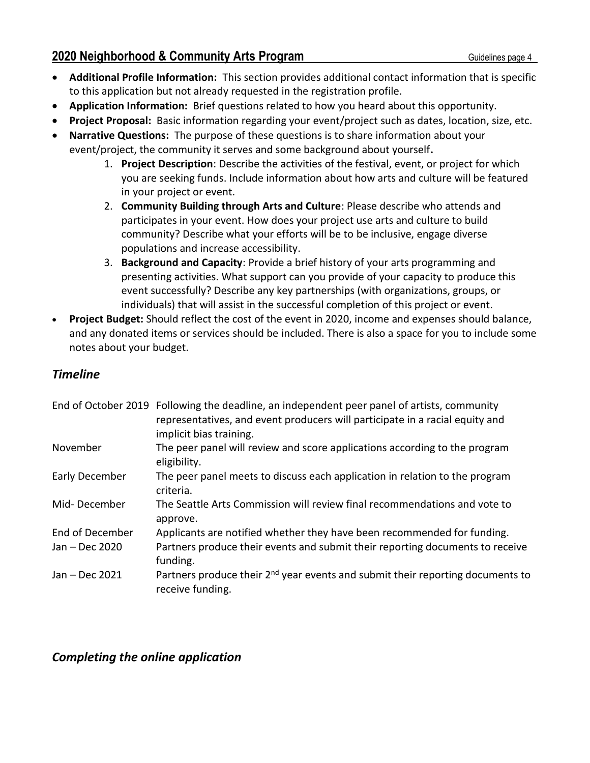- **Additional Profile Information:** This section provides additional contact information that is specific to this application but not already requested in the registration profile.
- **Application Information:** Brief questions related to how you heard about this opportunity.
- **Project Proposal:** Basic information regarding your event/project such as dates, location, size, etc.
- **Narrative Questions:** The purpose of these questions is to share information about your event/project, the community it serves and some background about yourself**.**
	- 1. **Project Description**: Describe the activities of the festival, event, or project for which you are seeking funds. Include information about how arts and culture will be featured in your project or event.
	- 2. **Community Building through Arts and Culture**: Please describe who attends and participates in your event. How does your project use arts and culture to build community? Describe what your efforts will be to be inclusive, engage diverse populations and increase accessibility.
	- 3. **Background and Capacity**: Provide a brief history of your arts programming and presenting activities. What support can you provide of your capacity to produce this event successfully? Describe any key partnerships (with organizations, groups, or individuals) that will assist in the successful completion of this project or event.
- **Project Budget:** Should reflect the cost of the event in 2020, income and expenses should balance, and any donated items or services should be included. There is also a space for you to include some notes about your budget.

## *Timeline*

|                        | End of October 2019 Following the deadline, an independent peer panel of artists, community<br>representatives, and event producers will participate in a racial equity and<br>implicit bias training. |
|------------------------|--------------------------------------------------------------------------------------------------------------------------------------------------------------------------------------------------------|
| November               | The peer panel will review and score applications according to the program<br>eligibility.                                                                                                             |
| Early December         | The peer panel meets to discuss each application in relation to the program<br>criteria.                                                                                                               |
| Mid-December           | The Seattle Arts Commission will review final recommendations and vote to<br>approve.                                                                                                                  |
| <b>End of December</b> | Applicants are notified whether they have been recommended for funding.                                                                                                                                |
| Jan - Dec 2020         | Partners produce their events and submit their reporting documents to receive<br>funding.                                                                                                              |
| Jan - Dec 2021         | Partners produce their $2^{nd}$ year events and submit their reporting documents to<br>receive funding.                                                                                                |

## *Completing the online application*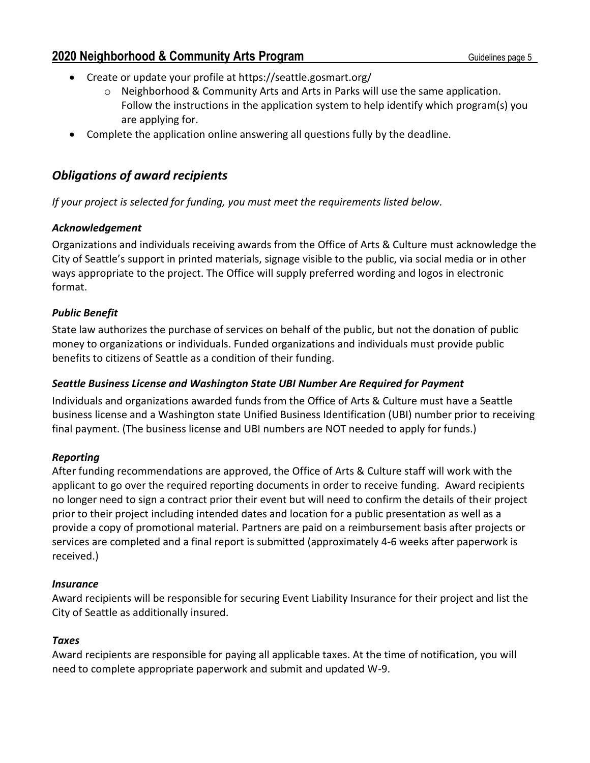- Create or update your profile at https://seattle.gosmart.org/
	- $\circ$  Neighborhood & Community Arts and Arts in Parks will use the same application. Follow the instructions in the application system to help identify which program(s) you are applying for.
- Complete the application online answering all questions fully by the deadline.

# *Obligations of award recipients*

*If your project is selected for funding, you must meet the requirements listed below.*

#### *Acknowledgement*

Organizations and individuals receiving awards from the Office of Arts & Culture must acknowledge the City of Seattle's support in printed materials, signage visible to the public, via social media or in other ways appropriate to the project. The Office will supply preferred wording and logos in electronic format.

#### *Public Benefit*

State law authorizes the purchase of services on behalf of the public, but not the donation of public money to organizations or individuals. Funded organizations and individuals must provide public benefits to citizens of Seattle as a condition of their funding.

#### *Seattle Business License and Washington State UBI Number Are Required for Payment*

Individuals and organizations awarded funds from the Office of Arts & Culture must have a Seattle business license and a Washington state Unified Business Identification (UBI) number prior to receiving final payment. (The business license and UBI numbers are NOT needed to apply for funds.)

#### *Reporting*

After funding recommendations are approved, the Office of Arts & Culture staff will work with the applicant to go over the required reporting documents in order to receive funding. Award recipients no longer need to sign a contract prior their event but will need to confirm the details of their project prior to their project including intended dates and location for a public presentation as well as a provide a copy of promotional material. Partners are paid on a reimbursement basis after projects or services are completed and a final report is submitted (approximately 4-6 weeks after paperwork is received.)

#### *Insurance*

Award recipients will be responsible for securing Event Liability Insurance for their project and list the City of Seattle as additionally insured.

#### *Taxes*

Award recipients are responsible for paying all applicable taxes. At the time of notification, you will need to complete appropriate paperwork and submit and updated W-9.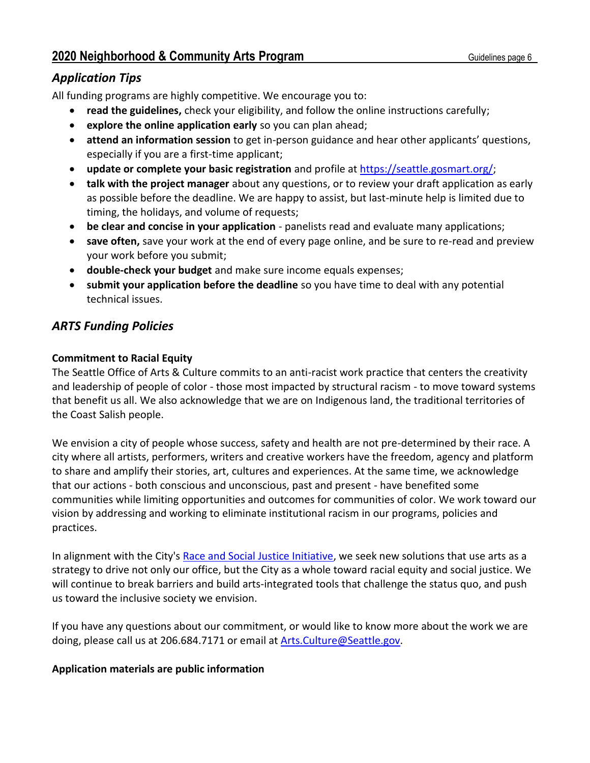# *Application Tips*

All funding programs are highly competitive. We encourage you to:

- **read the guidelines,** check your eligibility, and follow the online instructions carefully;
- **explore the online application early** so you can plan ahead;
- **attend an information session** to get in-person guidance and hear other applicants' questions, especially if you are a first-time applicant;
- **update or complete your basic registration** and profile at [https://seattle.gosmart.org/;](https://seattle.gosmart.org/)
- **talk with the project manager** about any questions, or to review your draft application as early as possible before the deadline. We are happy to assist, but last-minute help is limited due to timing, the holidays, and volume of requests;
- **be clear and concise in your application** panelists read and evaluate many applications;
- **save often,** save your work at the end of every page online, and be sure to re-read and preview your work before you submit;
- **double-check your budget** and make sure income equals expenses;
- **submit your application before the deadline** so you have time to deal with any potential technical issues.

# *ARTS Funding Policies*

# **Commitment to Racial Equity**

The Seattle Office of Arts & Culture commits to an anti-racist work practice that centers the creativity and leadership of people of color - those most impacted by structural racism - to move toward systems that benefit us all. We also acknowledge that we are on Indigenous land, the traditional territories of the Coast Salish people.

We envision a city of people whose success, safety and health are not pre-determined by their race. A city where all artists, performers, writers and creative workers have the freedom, agency and platform to share and amplify their stories, art, cultures and experiences. At the same time, we acknowledge that our actions - both conscious and unconscious, past and present - have benefited some communities while limiting opportunities and outcomes for communities of color. We work toward our vision by addressing and working to eliminate institutional racism in our programs, policies and practices.

In alignment with the City's [Race and Social Justice Initiative,](http://www.seattle.gov/rsji) we seek new solutions that use arts as a strategy to drive not only our office, but the City as a whole toward racial equity and social justice. We will continue to break barriers and build arts-integrated tools that challenge the status quo, and push us toward the inclusive society we envision.

If you have any questions about our commitment, or would like to know more about the work we are doing, please call us at 206.684.7171 or email at **Arts.Culture@Seattle.gov**.

## **Application materials are public information**